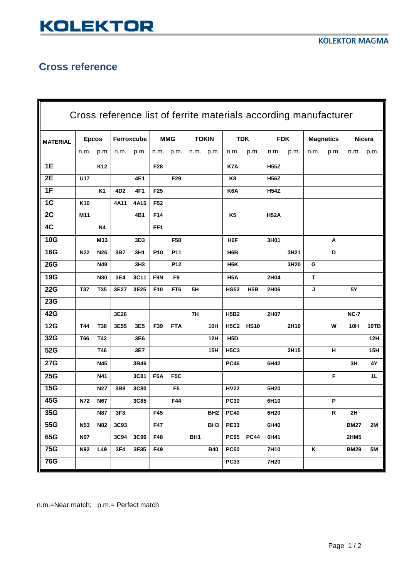## **KOLEKTOR**

## **Cross reference**

| Cross reference list of ferrite materials according manufacturer |              |                 |                 |                 |                  |                  |                 |                 |                  |             |             |      |                  |      |               |            |
|------------------------------------------------------------------|--------------|-----------------|-----------------|-----------------|------------------|------------------|-----------------|-----------------|------------------|-------------|-------------|------|------------------|------|---------------|------------|
| <b>MATERIAL</b>                                                  | <b>Epcos</b> |                 | Ferroxcube      |                 | <b>MMG</b>       |                  | <b>TOKIN</b>    |                 | <b>TDK</b>       |             | <b>FDK</b>  |      | <b>Magnetics</b> |      | <b>Nicera</b> |            |
|                                                                  | n.m. p.m     |                 | n.m.            | p.m.            |                  | n.m. p.m.        | n.m. p.m.       |                 | n.m.             | p.m.        | n.m.        | p.m. | n.m.             | p.m. | n.m. p.m.     |            |
| 1E                                                               |              | K <sub>12</sub> |                 |                 | F <sub>28</sub>  |                  |                 |                 | K7A              |             | <b>H55Z</b> |      |                  |      |               |            |
| 2E                                                               | U17          |                 |                 | 4E1             |                  | F29              |                 |                 | K8               |             | <b>H56Z</b> |      |                  |      |               |            |
| 1F                                                               |              | K <sub>1</sub>  | 4D <sub>2</sub> | 4F1             | F <sub>25</sub>  |                  |                 |                 | K6A              |             | <b>H54Z</b> |      |                  |      |               |            |
| 1C                                                               | K10          |                 | 4A11            | 4A15            | F <sub>52</sub>  |                  |                 |                 |                  |             |             |      |                  |      |               |            |
| 2C                                                               | M11          |                 |                 | 4B1             | F14              |                  |                 |                 | K <sub>5</sub>   |             | <b>H52A</b> |      |                  |      |               |            |
| 4C                                                               |              | Ν4              |                 |                 | FF <sub>1</sub>  |                  |                 |                 |                  |             |             |      |                  |      |               |            |
| <b>10G</b>                                                       |              | M33             |                 | 3D3             |                  | F58              |                 |                 | H <sub>6</sub> F |             | 3H01        |      |                  | Α    |               |            |
| <b>16G</b>                                                       | <b>N22</b>   | N26             | 3B7             | 3H1             | P <sub>10</sub>  | P <sub>11</sub>  |                 |                 | H <sub>6</sub> B |             |             | 3H21 |                  | D    |               |            |
| <b>26G</b>                                                       |              | N48             |                 | 3H <sub>3</sub> |                  | P12              |                 |                 | H <sub>6</sub> K |             |             | 3H20 | G                |      |               |            |
| <b>19G</b>                                                       |              | <b>N30</b>      | 3E4             | 3C11            | F9N              | F <sub>9</sub>   |                 |                 | H <sub>5</sub> A |             | 2H04        |      | T                |      |               |            |
| <b>22G</b>                                                       | <b>T37</b>   | T35             | 3E27            | 3E25            | F10              | FT6              | 5H              |                 | <b>HS52</b>      | H5B         | 2H06        |      | J                |      | 5Y            |            |
| <b>23G</b>                                                       |              |                 |                 |                 |                  |                  |                 |                 |                  |             |             |      |                  |      |               |            |
| 42G                                                              |              |                 | 3E26            |                 |                  |                  | 7H              |                 | <b>H5B2</b>      |             | 2H07        |      |                  |      | <b>NC-7</b>   |            |
| <b>12G</b>                                                       | T44          | T38             | 3E55            | 3E5             | F39              | <b>FTA</b>       |                 | 10H             | <b>H5C2</b>      | <b>HS10</b> |             | 2H10 |                  | W    | 10H           | 10TB       |
| 32G                                                              | <b>T66</b>   | T42             |                 | 3E6             |                  |                  |                 | 12H             | H <sub>5</sub> D |             |             |      |                  |      |               | 12H        |
| 52G                                                              |              | T46             |                 | 3E7             |                  |                  |                 | 15H             | <b>H5C3</b>      |             |             | 2H15 |                  | н    |               | <b>15H</b> |
| <b>27G</b>                                                       |              | N45             |                 | 3B46            |                  |                  |                 |                 | <b>PC46</b>      |             | 6H42        |      |                  |      | 3H            | 4Υ         |
| <b>25G</b>                                                       |              | N41             |                 | 3C81            | F <sub>5</sub> A | F <sub>5</sub> C |                 |                 |                  |             |             |      |                  | F    |               | 1L         |
| <b>15G</b>                                                       |              | N27             | 3B8             | 3C80            |                  | F <sub>5</sub>   |                 |                 | <b>HV22</b>      |             | 5H20        |      |                  |      |               |            |
| 45G                                                              | N72          | <b>N67</b>      |                 | 3C85            |                  | F44              |                 |                 | <b>PC30</b>      |             | 6H10        |      |                  | P    |               |            |
| 35G                                                              |              | N87             | 3F3             |                 | F45              |                  |                 | BH2             | <b>PC40</b>      |             | 6H20        |      |                  | R    | 2H            |            |
| 55G                                                              | <b>N53</b>   | <b>N82</b>      | 3C93            |                 | F47              |                  |                 | BH <sub>3</sub> | <b>PE33</b>      |             | 6H40        |      |                  |      | <b>BM27</b>   | 2M         |
| 65G                                                              | <b>N97</b>   |                 | 3C94            | 3C96            | F48              |                  | BH <sub>1</sub> |                 | <b>PC95</b>      | <b>PC44</b> | 6H41        |      |                  |      | 2HM5          |            |
| <b>75G</b>                                                       | <b>N92</b>   | L49             | 3F4             | 3F35            | F49              |                  |                 | <b>B40</b>      | <b>PC50</b>      |             | 7H10        |      | Κ                |      | <b>BM29</b>   | 5M         |
| <b>76G</b>                                                       |              |                 |                 |                 |                  |                  |                 |                 | <b>PC33</b>      |             | 7H20        |      |                  |      |               |            |

n.m.=Near match; p.m.= Perfect match